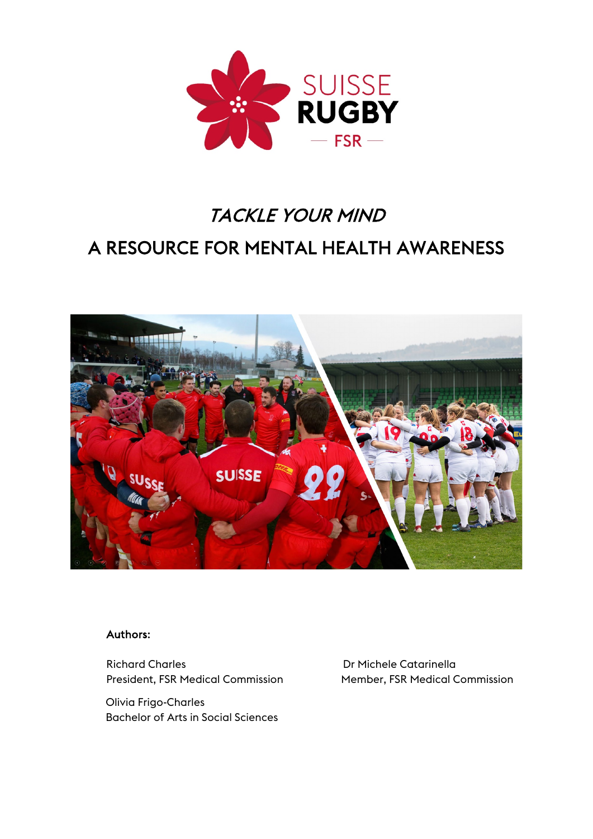

# TACKLE YOUR MIND A RESOURCE FOR MENTAL HEALTH AWARENESS



# Authors:

Richard Charles<br>President, FSR Medical Commission<br>President, FSR Medical Commission<br>President Commission President, FSR Medical Commission

Olivia Frigo-Charles Bachelor of Arts in Social Sciences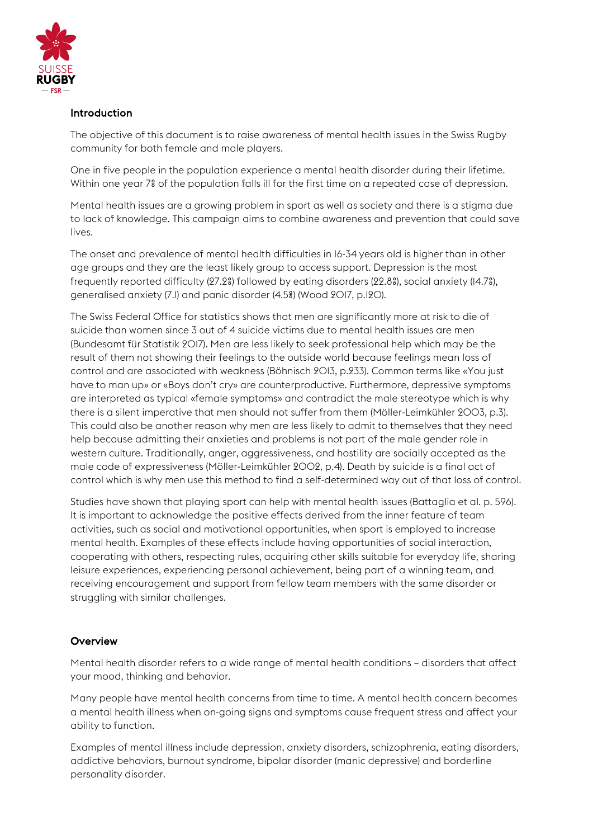

# Introduction

The objective of this document is to raise awareness of mental health issues in the Swiss Rugby community for both female and male players.

One in five people in the population experience a mental health disorder during their lifetime. Within one year 7% of the population falls ill for the first time on a repeated case of depression.

Mental health issues are a growing problem in sport as well as society and there is a stigma due to lack of knowledge. This campaign aims to combine awareness and prevention that could save lives.

The onset and prevalence of mental health difficulties in 16-34 years old is higher than in other age groups and they are the least likely group to access support. Depression is the most frequently reported difficulty (27.2%) followed by eating disorders (22.8%), social anxiety (14.7%), generalised anxiety (7.1) and panic disorder (4.5%) (Wood 2017, p.120).

The Swiss Federal Office for statistics shows that men are significantly more at risk to die of suicide than women since 3 out of 4 suicide victims due to mental health issues are men (Bundesamt für Statistik 2017). Men are less likely to seek professional help which may be the result of them not showing their feelings to the outside world because feelings mean loss of control and are associated with weakness (Böhnisch 2013, p.233). Common terms like «You just have to man up» or «Boys don't cry» are counterproductive. Furthermore, depressive symptoms are interpreted as typical «female symptoms» and contradict the male stereotype which is why there is a silent imperative that men should not suffer from them (Möller-Leimkühler 2003, p.3). This could also be another reason why men are less likely to admit to themselves that they need help because admitting their anxieties and problems is not part of the male gender role in western culture. Traditionally, anger, aggressiveness, and hostility are socially accepted as the male code of expressiveness (Möller-Leimkühler 2002, p.4). Death by suicide is a final act of control which is why men use this method to find a self-determined way out of that loss of control.

Studies have shown that playing sport can help with mental health issues (Battaglia et al. p. 596). It is important to acknowledge the positive effects derived from the inner feature of team activities, such as social and motivational opportunities, when sport is employed to increase mental health. Examples of these effects include having opportunities of social interaction, cooperating with others, respecting rules, acquiring other skills suitable for everyday life, sharing leisure experiences, experiencing personal achievement, being part of a winning team, and receiving encouragement and support from fellow team members with the same disorder or struggling with similar challenges.

# **Overview**

Mental health disorder refers to a wide range of mental health conditions – disorders that affect your mood, thinking and behavior.

Many people have mental health concerns from time to time. A mental health concern becomes a mental health illness when on-going signs and symptoms cause frequent stress and affect your ability to function.

Examples of mental illness include depression, anxiety disorders, schizophrenia, eating disorders, addictive behaviors, burnout syndrome, bipolar disorder (manic depressive) and borderline personality disorder.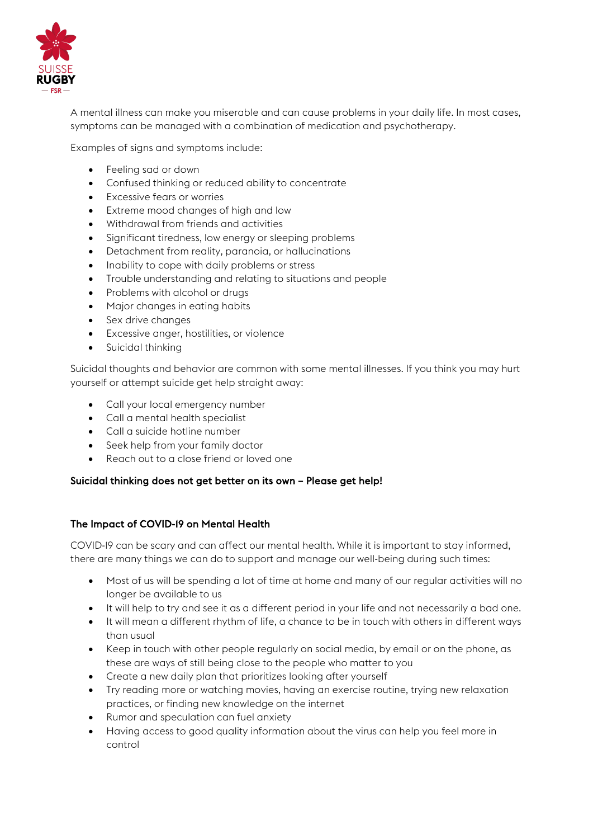

A mental illness can make you miserable and can cause problems in your daily life. In most cases, symptoms can be managed with a combination of medication and psychotherapy.

Examples of signs and symptoms include:

- Feeling sad or down
- Confused thinking or reduced ability to concentrate
- Excessive fears or worries
- Extreme mood changes of high and low
- Withdrawal from friends and activities
- Significant tiredness, low energy or sleeping problems
- Detachment from reality, paranoia, or hallucinations
- Inability to cope with daily problems or stress
- Trouble understanding and relating to situations and people
- Problems with alcohol or druas
- Major changes in eating habits
- Sex drive changes
- Excessive anger, hostilities, or violence
- Suicidal thinking

Suicidal thoughts and behavior are common with some mental illnesses. If you think you may hurt yourself or attempt suicide get help straight away:

- Call your local emergency number
- Call a mental health specialist
- Call a suicide hotline number
- Seek help from your family doctor
- Reach out to a close friend or loved one

#### Suicidal thinking does not get better on its own – Please get help!

#### The Impact of COVID-19 on Mental Health

COVID-19 can be scary and can affect our mental health. While it is important to stay informed, there are many things we can do to support and manage our well-being during such times:

- Most of us will be spending a lot of time at home and many of our regular activities will no longer be available to us
- It will help to try and see it as a different period in your life and not necessarily a bad one.
- It will mean a different rhythm of life, a chance to be in touch with others in different ways than usual
- Keep in touch with other people regularly on social media, by email or on the phone, as these are ways of still being close to the people who matter to you
- Create a new daily plan that prioritizes looking after yourself
- Try reading more or watching movies, having an exercise routine, trying new relaxation practices, or finding new knowledge on the internet
- Rumor and speculation can fuel anxiety
- Having access to good quality information about the virus can help you feel more in control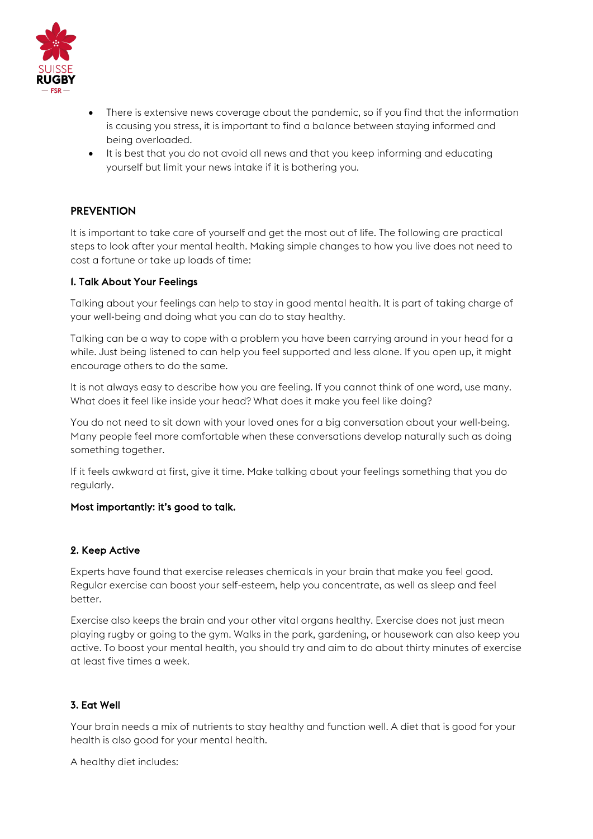

- There is extensive news coverage about the pandemic, so if you find that the information is causing you stress, it is important to find a balance between staying informed and being overloaded.
- It is best that you do not avoid all news and that you keep informing and educating yourself but limit your news intake if it is bothering you.

# **PREVENTION**

It is important to take care of yourself and get the most out of life. The following are practical steps to look after your mental health. Making simple changes to how you live does not need to cost a fortune or take up loads of time:

#### 1. Talk About Your Feelings

Talking about your feelings can help to stay in good mental health. It is part of taking charge of your well-being and doing what you can do to stay healthy.

Talking can be a way to cope with a problem you have been carrying around in your head for a while. Just being listened to can help you feel supported and less alone. If you open up, it might encourage others to do the same.

It is not always easy to describe how you are feeling. If you cannot think of one word, use many. What does it feel like inside your head? What does it make you feel like doing?

You do not need to sit down with your loved ones for a big conversation about your well-being. Many people feel more comfortable when these conversations develop naturally such as doing something together.

If it feels awkward at first, give it time. Make talking about your feelings something that you do regularly.

#### Most importantly: it's good to talk.

# 2. Keep Active

Experts have found that exercise releases chemicals in your brain that make you feel good. Regular exercise can boost your self-esteem, help you concentrate, as well as sleep and feel better.

Exercise also keeps the brain and your other vital organs healthy. Exercise does not just mean playing rugby or going to the gym. Walks in the park, gardening, or housework can also keep you active. To boost your mental health, you should try and aim to do about thirty minutes of exercise at least five times a week.

# 3. Eat Well

Your brain needs a mix of nutrients to stay healthy and function well. A diet that is good for your health is also good for your mental health.

A healthy diet includes: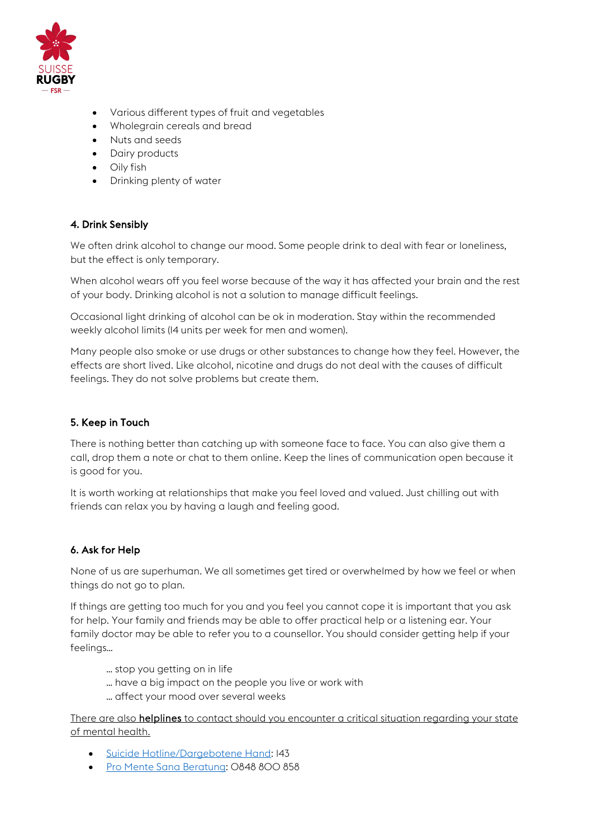

- Various different types of fruit and vegetables
- Wholegrain cereals and bread
- Nuts and seeds
- Dairy products
- Oily fish
- Drinking plenty of water

# 4. Drink Sensibly

We often drink alcohol to change our mood. Some people drink to deal with fear or loneliness, but the effect is only temporary.

When alcohol wears off you feel worse because of the way it has affected your brain and the rest of your body. Drinking alcohol is not a solution to manage difficult feelings.

Occasional light drinking of alcohol can be ok in moderation. Stay within the recommended weekly alcohol limits (14 units per week for men and women).

Many people also smoke or use drugs or other substances to change how they feel. However, the effects are short lived. Like alcohol, nicotine and drugs do not deal with the causes of difficult feelings. They do not solve problems but create them.

# 5. Keep in Touch

There is nothing better than catching up with someone face to face. You can also give them a call, drop them a note or chat to them online. Keep the lines of communication open because it is good for you.

It is worth working at relationships that make you feel loved and valued. Just chilling out with friends can relax you by having a laugh and feeling good.

# 6. Ask for Help

None of us are superhuman. We all sometimes get tired or overwhelmed by how we feel or when things do not go to plan.

If things are getting too much for you and you feel you cannot cope it is important that you ask for help. Your family and friends may be able to offer practical help or a listening ear. Your family doctor may be able to refer you to a counsellor. You should consider getting help if your feelings…

- … stop you getting on in life
- … have a big impact on the people you live or work with
- … affect your mood over several weeks

There are also helplines to contact should you encounter a critical situation regarding your state of mental health.

- [Suicide Hotline/Dargebotene Hand:](https://www.143.ch/) 143
- [Pro Mente Sana Beratung:](https://www.promentesana.ch/de/beratung.html) 0848 800 858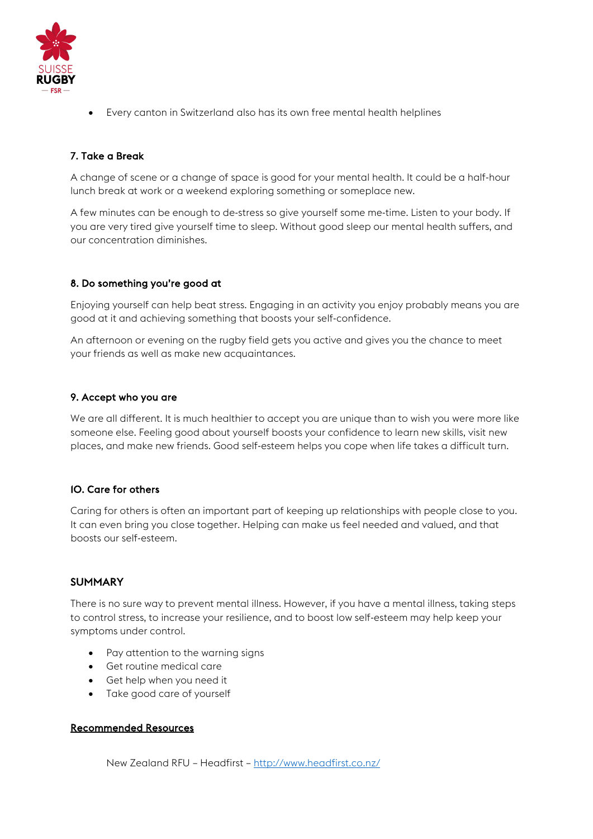

• Every canton in Switzerland also has its own free mental health helplines

# 7. Take a Break

A change of scene or a change of space is good for your mental health. It could be a half-hour lunch break at work or a weekend exploring something or someplace new.

A few minutes can be enough to de-stress so give yourself some me-time. Listen to your body. If you are very tired give yourself time to sleep. Without good sleep our mental health suffers, and our concentration diminishes.

# 8. Do something you're good at

Enjoying yourself can help beat stress. Engaging in an activity you enjoy probably means you are good at it and achieving something that boosts your self-confidence.

An afternoon or evening on the rugby field gets you active and gives you the chance to meet your friends as well as make new acquaintances.

#### 9. Accept who you are

We are all different. It is much healthier to accept you are unique than to wish you were more like someone else. Feeling good about yourself boosts your confidence to learn new skills, visit new places, and make new friends. Good self-esteem helps you cope when life takes a difficult turn.

# 10. Care for others

Caring for others is often an important part of keeping up relationships with people close to you. It can even bring you close together. Helping can make us feel needed and valued, and that boosts our self-esteem.

# SUMMARY

There is no sure way to prevent mental illness. However, if you have a mental illness, taking steps to control stress, to increase your resilience, and to boost low self-esteem may help keep your symptoms under control.

- Pay attention to the warning signs
- Get routine medical care
- Get help when you need it
- Take good care of yourself

# Recommended Resources

New Zealand RFU – Headfirst – <http://www.headfirst.co.nz/>